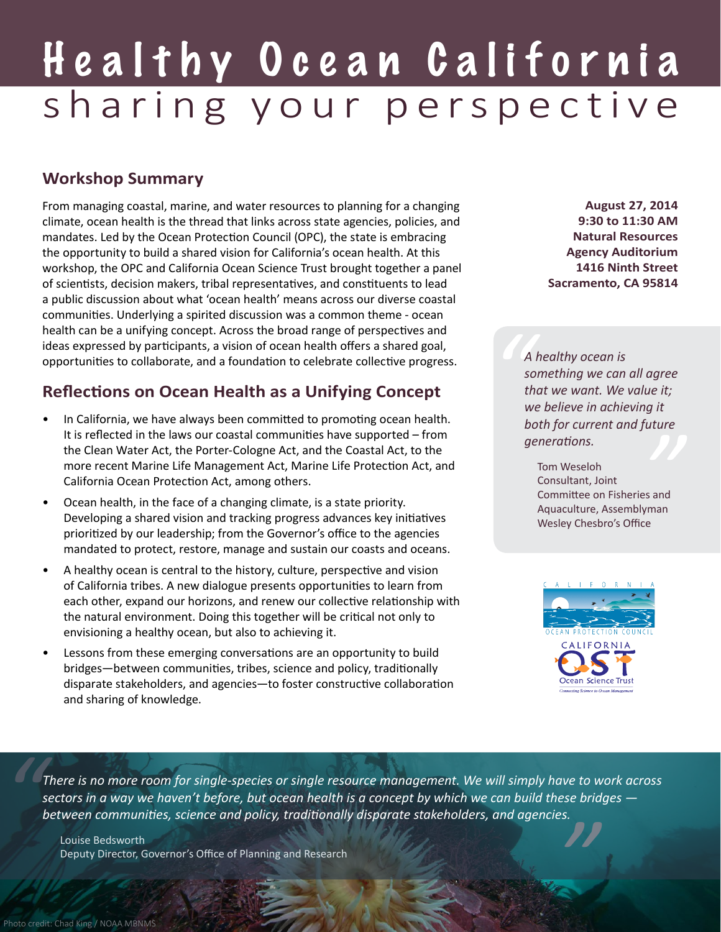# Healthy Ocean California sharing your perspective

#### **Workshop Summary**

From managing coastal, marine, and water resources to planning for a changing climate, ocean health is the thread that links across state agencies, policies, and mandates. Led by the Ocean Protection Council (OPC), the state is embracing the opportunity to build a shared vision for California's ocean health. At this workshop, the OPC and California Ocean Science Trust brought together a panel of scientists, decision makers, tribal representatives, and constituents to lead a public discussion about what 'ocean health' means across our diverse coastal communities. Underlying a spirited discussion was a common theme - ocean health can be a unifying concept. Across the broad range of perspectives and ideas expressed by participants, a vision of ocean health offers a shared goal, opportunities to collaborate, and a foundation to celebrate collective progress.

#### **Reflections on Ocean Health as a Unifying Concept**

- In California, we have always been committed to promoting ocean health. It is reflected in the laws our coastal communities have supported – from the Clean Water Act, the Porter-Cologne Act, and the Coastal Act, to the more recent Marine Life Management Act, Marine Life Protection Act, and California Ocean Protection Act, among others.
- Ocean health, in the face of a changing climate, is a state priority. Developing a shared vision and tracking progress advances key initiatives prioritized by our leadership; from the Governor's office to the agencies mandated to protect, restore, manage and sustain our coasts and oceans.
- A healthy ocean is central to the history, culture, perspective and vision of California tribes. A new dialogue presents opportunities to learn from each other, expand our horizons, and renew our collective relationship with the natural environment. Doing this together will be critical not only to envisioning a healthy ocean, but also to achieving it.
- Lessons from these emerging conversations are an opportunity to build bridges—between communities, tribes, science and policy, traditionally disparate stakeholders, and agencies—to foster constructive collaboration and sharing of knowledge.

**August 27, 2014 9:30 to 11:30 AM Natural Resources Agency Auditorium 1416 Ninth Street Sacramento, CA 95814**

A<br> *sc*<br>
th<br> *w*<br>
b *A healthy ocean is something we can all agree that we want. We value it; we believe in achieving it both for current and future generations.*

*uture*<br>"<br>"<br>"<br>" Tom Weseloh Consultant, Joint Committee on Fisheries and Aquaculture, Assemblyman Wesley Chesbro's Office



**14** *" There is no more room for single-species or single resource management. We will simply have to work across sectors in a way we haven't before, but ocean health is a concept by which we can build these bridges between communities, science and policy, traditionally disparate stakeholders, and agencies.*

Louise Bedsworth Deputy Director, Governor's Office of Planning and Research